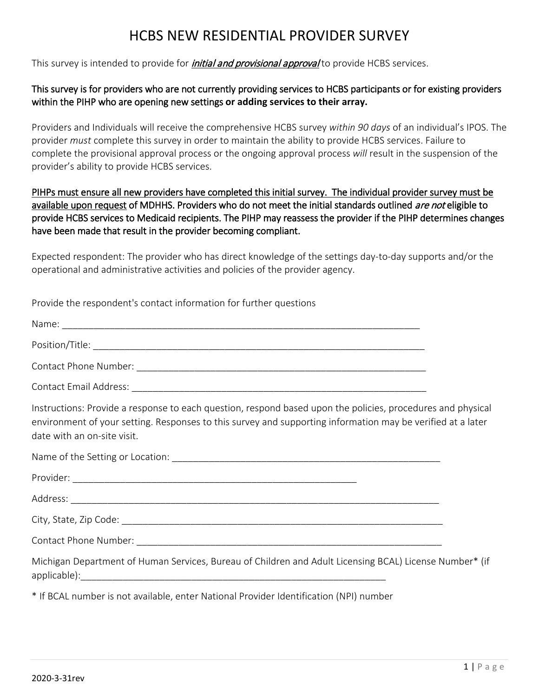This survey is intended to provide for *initial and provisional approval* to provide HCBS services.

### This survey is for providers who are not currently providing services to HCBS participants or for existing providers within the PIHP who are opening new settings **or adding services to their array.**

Providers and Individuals will receive the comprehensive HCBS survey *within 90 days* of an individual's IPOS. The provider *must* complete this survey in order to maintain the ability to provide HCBS services. Failure to complete the provisional approval process or the ongoing approval process *will* result in the suspension of the provider's ability to provide HCBS services.

### PIHPs must ensure all new providers have completed this initial survey. The individual provider survey must be available upon request of MDHHS. Providers who do not meet the initial standards outlined *are not* eligible to provide HCBS services to Medicaid recipients. The PIHP may reassess the provider if the PIHP determines changes have been made that result in the provider becoming compliant.

Expected respondent: The provider who has direct knowledge of the settings day-to-day supports and/or the operational and administrative activities and policies of the provider agency.

Provide the respondent's contact information for further questions

| Name:                 |
|-----------------------|
| Position/Title:       |
| Contact Phone Number: |
|                       |

Contact Email Address:

Instructions: Provide a response to each question, respond based upon the policies, procedures and physical environment of your setting. Responses to this survey and supporting information may be verified at a later date with an on-site visit.

| Contact Phone Number: 2008 2009 2010 2020 2020 2020 2021 2021 2022 2021 2022 2023 2024 2022 2022 2023 2024 202 |  |
|----------------------------------------------------------------------------------------------------------------|--|
| Michigan Department of Human Services, Bureau of Children and Adult Licensing BCAL) License Number* (if        |  |

\* If BCAL number is not available, enter National Provider Identification (NPI) number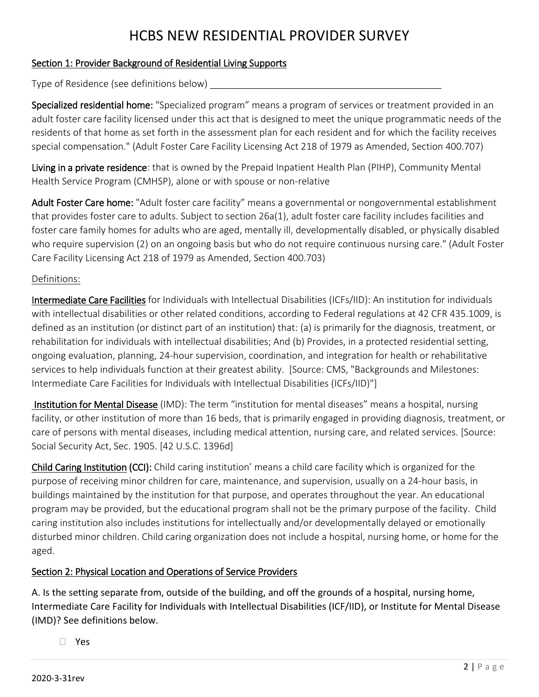### Section 1: Provider Background of Residential Living Supports

Type of Residence (see definitions below)

Specialized residential home: "Specialized program" means a program of services or treatment provided in an adult foster care facility licensed under this act that is designed to meet the unique programmatic needs of the residents of that home as set forth in the assessment plan for each resident and for which the facility receives special compensation." (Adult Foster Care Facility Licensing Act 218 of 1979 as Amended, Section 400.707)

Living in a private residence: that is owned by the Prepaid Inpatient Health Plan (PIHP), Community Mental Health Service Program (CMHSP), alone or with spouse or non-relative

Adult Foster Care home: "Adult foster care facility" means a governmental or nongovernmental establishment that provides foster care to adults. Subject to section 26a(1), adult foster care facility includes facilities and foster care family homes for adults who are aged, mentally ill, developmentally disabled, or physically disabled who require supervision (2) on an ongoing basis but who do not require continuous nursing care." (Adult Foster Care Facility Licensing Act 218 of 1979 as Amended, Section 400.703)

#### Definitions:

Intermediate Care Facilities for Individuals with Intellectual Disabilities (ICFs/IID): An institution for individuals with intellectual disabilities or other related conditions, according to Federal regulations at 42 CFR 435.1009, is defined as an institution (or distinct part of an institution) that: (a) is primarily for the diagnosis, treatment, or rehabilitation for individuals with intellectual disabilities; And (b) Provides, in a protected residential setting, ongoing evaluation, planning, 24-hour supervision, coordination, and integration for health or rehabilitative services to help individuals function at their greatest ability. [Source: CMS, "Backgrounds and Milestones: Intermediate Care Facilities for Individuals with Intellectual Disabilities (ICFs/IID)"]

Institution for Mental Disease (IMD): The term "institution for mental diseases" means a hospital, nursing facility, or other institution of more than 16 beds, that is primarily engaged in providing diagnosis, treatment, or care of persons with mental diseases, including medical attention, nursing care, and related services. [Source: Social Security Act, Sec. 1905. [42 U.S.C. 1396d]

Child Caring Institution (CCI): Child caring institution' means a child care facility which is organized for the purpose of receiving minor children for care, maintenance, and supervision, usually on a 24-hour basis, in buildings maintained by the institution for that purpose, and operates throughout the year. An educational program may be provided, but the educational program shall not be the primary purpose of the facility. Child caring institution also includes institutions for intellectually and/or developmentally delayed or emotionally disturbed minor children. Child caring organization does not include a hospital, nursing home, or home for the aged.

### Section 2: Physical Location and Operations of Service Providers

A. Is the setting separate from, outside of the building, and off the grounds of a hospital, nursing home, Intermediate Care Facility for Individuals with Intellectual Disabilities (ICF/IID), or Institute for Mental Disease (IMD)? See definitions below.

Yes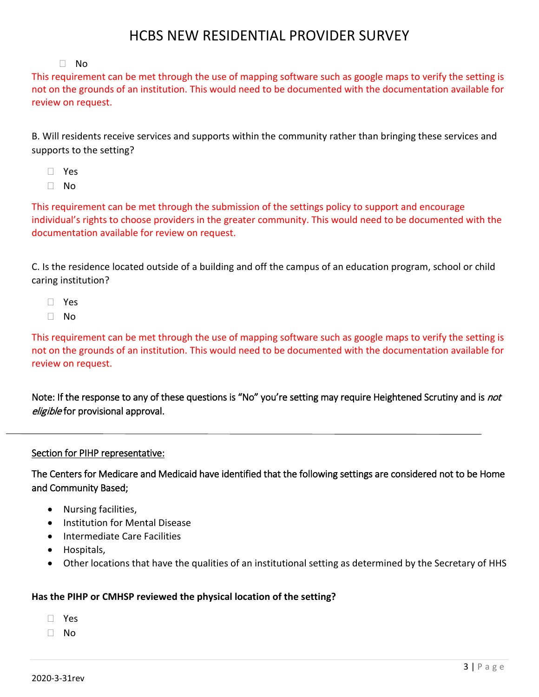#### $\Box$  No

This requirement can be met through the use of mapping software such as google maps to verify the setting is not on the grounds of an institution. This would need to be documented with the documentation available for review on request.

B. Will residents receive services and supports within the community rather than bringing these services and supports to the setting?

- Yes
- $\Box$  No

This requirement can be met through the submission of the settings policy to support and encourage individual's rights to choose providers in the greater community. This would need to be documented with the documentation available for review on request.

C. Is the residence located outside of a building and off the campus of an education program, school or child caring institution?

- Yes
- $\Box$  No

 $\overline{a}$ 

This requirement can be met through the use of mapping software such as google maps to verify the setting is not on the grounds of an institution. This would need to be documented with the documentation available for review on request.

Note: If the response to any of these questions is "No" you're setting may require Heightened Scrutiny and is *not* eligible for provisional approval.

#### Section for PIHP representative:

The Centers for Medicare and Medicaid have identified that the following settings are considered not to be Home and Community Based;

- Nursing facilities,
- Institution for Mental Disease
- Intermediate Care Facilities
- Hospitals,
- Other locations that have the qualities of an institutional setting as determined by the Secretary of HHS

#### **Has the PIHP or CMHSP reviewed the physical location of the setting?**

- Yes
- $\Box$  No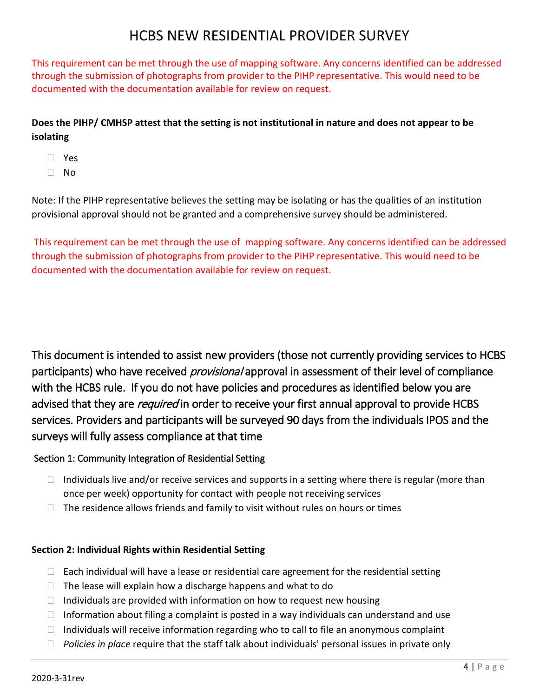This requirement can be met through the use of mapping software. Any concerns identified can be addressed through the submission of photographs from provider to the PIHP representative. This would need to be documented with the documentation available for review on request.

## **Does the PIHP/ CMHSP attest that the setting is not institutional in nature and does not appear to be isolating**

- Yes
- $\Box$  No

Note: If the PIHP representative believes the setting may be isolating or has the qualities of an institution provisional approval should not be granted and a comprehensive survey should be administered.

This requirement can be met through the use of mapping software. Any concerns identified can be addressed through the submission of photographs from provider to the PIHP representative. This would need to be documented with the documentation available for review on request.

This document is intended to assist new providers (those not currently providing services to HCBS participants) who have received *provisional* approval in assessment of their level of compliance with the HCBS rule. If you do not have policies and procedures as identified below you are advised that they are *required* in order to receive your first annual approval to provide HCBS services. Providers and participants will be surveyed 90 days from the individuals IPOS and the surveys will fully assess compliance at that time

## Section 1: Community Integration of Residential Setting

- $\Box$  Individuals live and/or receive services and supports in a setting where there is regular (more than once per week) opportunity for contact with people not receiving services
- $\Box$  The residence allows friends and family to visit without rules on hours or times

### **Section 2: Individual Rights within Residential Setting**

- $\Box$  Each individual will have a lease or residential care agreement for the residential setting
- $\Box$  The lease will explain how a discharge happens and what to do
- $\Box$  Individuals are provided with information on how to request new housing
- $\Box$  Information about filing a complaint is posted in a way individuals can understand and use
- $\Box$  Individuals will receive information regarding who to call to file an anonymous complaint
- *Policies in place* require that the staff talk about individuals' personal issues in private only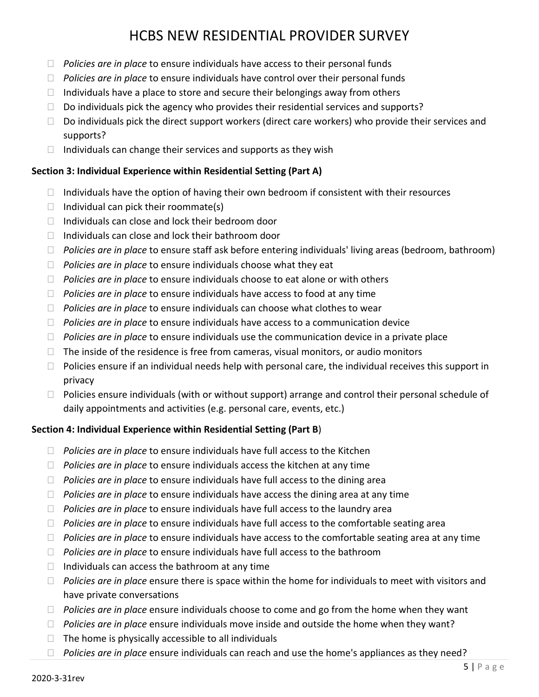- *Policies are in place* to ensure individuals have access to their personal funds
- *Policies are in place* to ensure individuals have control over their personal funds
- $\Box$  Individuals have a place to store and secure their belongings away from others
- $\Box$  Do individuals pick the agency who provides their residential services and supports?
- $\Box$  Do individuals pick the direct support workers (direct care workers) who provide their services and supports?
- $\Box$  Individuals can change their services and supports as they wish

### **Section 3: Individual Experience within Residential Setting (Part A)**

- $\Box$  Individuals have the option of having their own bedroom if consistent with their resources
- $\Box$  Individual can pick their roommate(s)
- $\Box$  Individuals can close and lock their bedroom door
- $\Box$  Individuals can close and lock their bathroom door
- *Policies are in place* to ensure staff ask before entering individuals' living areas (bedroom, bathroom)
- *Policies are in place* to ensure individuals choose what they eat
- *Policies are in place* to ensure individuals choose to eat alone or with others
- *Policies are in place* to ensure individuals have access to food at any time
- *Policies are in place* to ensure individuals can choose what clothes to wear
- *Policies are in place* to ensure individuals have access to a communication device
- *Policies are in place* to ensure individuals use the communication device in a private place
- $\Box$  The inside of the residence is free from cameras, visual monitors, or audio monitors
- $\Box$  Policies ensure if an individual needs help with personal care, the individual receives this support in privacy
- $\Box$  Policies ensure individuals (with or without support) arrange and control their personal schedule of daily appointments and activities (e.g. personal care, events, etc.)

#### **Section 4: Individual Experience within Residential Setting (Part B**)

- *Policies are in place* to ensure individuals have full access to the Kitchen
- *Policies are in place* to ensure individuals access the kitchen at any time
- *Policies are in place* to ensure individuals have full access to the dining area
- *Policies are in place* to ensure individuals have access the dining area at any time
- *Policies are in place* to ensure individuals have full access to the laundry area
- *Policies are in place* to ensure individuals have full access to the comfortable seating area
- *Policies are in place* to ensure individuals have access to the comfortable seating area at any time
- *Policies are in place* to ensure individuals have full access to the bathroom
- $\Box$  Individuals can access the bathroom at any time
- *Policies are in place* ensure there is space within the home for individuals to meet with visitors and have private conversations
- *Policies are in place* ensure individuals choose to come and go from the home when they want
- *Policies are in place* ensure individuals move inside and outside the home when they want?
- $\Box$  The home is physically accessible to all individuals
- *Policies are in place* ensure individuals can reach and use the home's appliances as they need?